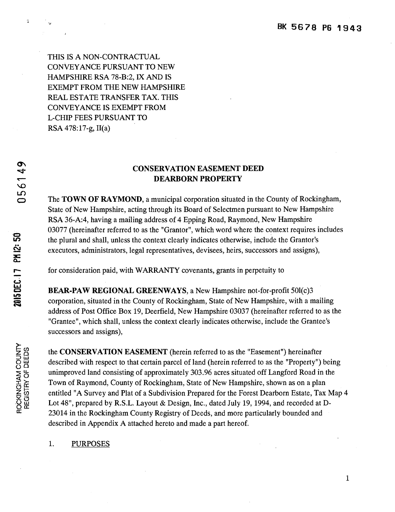THIS IS A NON-CONTRACTUAL CONVEYANCE PURSUANT TO NEW HAMPSHIRE RSA 78-B:2, IX AND IS EXEMPT FROM THE NEW HAMPSHIRE REAL ESTATE TRANSFER TAX. THIS CONVEYANCE IS EXEMPT FROM L-CHIP FEES PURSUANT TO RSA 478:17-g, II(a)

# CONSERVATION EASEMENT DEED DEARBORN PROPERTY

The TOWN OF RAYMOND, a municipal corporation situated in the County of Rockingham, State of New Hampshire, acting through its Board of Selectmen pursuant to New Hampshire RSA 36-A:4, having a mailing address of 4 Epping Road, Raymond, New Hampshire 03077 (hereinafter referred to as the "Grantor", which word where the context requires includes the plural and shall, unless the context clearly indicates otherwise, include the Grantor's executors, administrators, legal representatives, devisees, heirs, successors and assigns),

for consideration paid, with WARRANTY covenants, grants in perpetuity to

BEAR-PAW REGIONAL GREENWAYS, a New Hampshire not-for-profit 501(c)3 corporation, situated in the County of Rockingham, State of New Hampshire, with a mailing address of Post Office Box 19, Deerfield, New Hampshire 03037 (hereinafter referred to as the "Grantee", which shall, unless the context clearly indicates otherwise, include the Grantee's successors and assigns),

the CONSERVATION EASEMENT (herein referred to as the "Easement") hereinafter described with respect to that certain parcel of land (herein referred to as the "Property") being unimproved land consisting of approximately 303.96 acres situated off Langford Road in the Town of Raymond, County of Rockingham, State of New Hampshire, shown as on a plan entitled "A Survey and Plat of a Subdivision Prepared for the Forest Dearborn Estate, Tax Map 4 Lot 48", prepared by R.S.L. Layout & Design, Inc., dated July 19, 1994, and recorded at D-23014 in the Rockingham County Registry of Deeds, and more particularly bounded and described in Appendix A attached hereto and made a part hereof.

## 1. PURPOSES

 $\boldsymbol{\sigma}$ d.  $\infty$  .  $\bf{C}$ **C.** 

:

*':dO*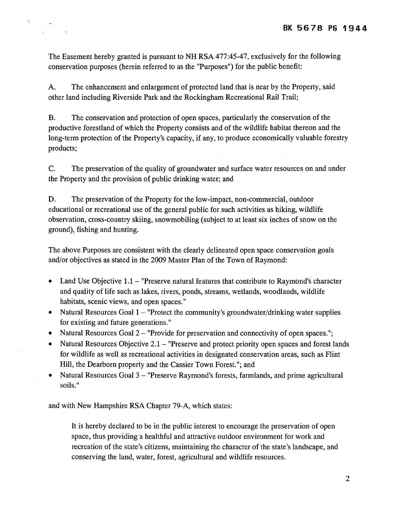The Easement hereby granted is pursuant to NH RSA 477:45-47, exclusively for the following conservation purposes (herein referred to as the "Purposes") for the public benefit:

 $\hat{\mathbf{r}}$ 

 $\sim 10^{-1}$  .  $\sim$ 

A. The enhancement and enlargement of protected land that is near by the Property, said other land including Riverside Park and the Rockingham Recreational Rail Trail;

B. The conservation and protection of open spaces, particularly the conservation of the productive forestland of which the Property consists and of the wildlife habitat thereon and the long-term protection of the Property's capacity, if any, to produce economically valuable forestry products;

C. The preservation of the quality of groundwater and surface water resources on and under the Property and the provision of public drinking water; and

D. The preservation of the Property for the low-impact, non-commercial, outdoor educational or recreational use of the general public for such activities as hiking, wildlife observation, cross-country skiing, snowmobiling (subject to at least six inches of snow on the ground), fishing and hunting.

The above Purposes are consistent with the dearly delineated open space conservation goals and/or objectives as stated in the 2009 Master Plan of the Town of Raymond:

- Land Use Objective  $1.1 -$  "Preserve natural features that contribute to Raymond's character and quality of life such as lakes, rivers, ponds, streams, wetlands, woodlands, wildlife habitats, scenic views, and open spaces."
- Natural Resources Goal  $1$  "Protect the community's groundwater/drinking water supplies for existing and future generations."
- Natural Resources Goal 2 "Provide for preservation and connectivity of open spaces.";
- Natural Resources Objective  $2.1 -$  "Preserve and protect priority open spaces and forest lands for wildlife as well as recreational activities in designated conservation areas, such as Flint Hill, the Dearborn property and the Cassier Town Forest."; and
- Natural Resources Goal 3 "Preserve Raymond's forests, farmlands, and prime agricultural soils."

and with New Hampshire RSA Chapter 79-A, which states:

It is hereby declared to be in the public interest to encourage the preservation of open space, thus providing a healthful and attractive outdoor environment for work and recreation of the state's citizens, maintaining the character of the state's landscape, and conserving the land, water, forest, agricultural and wildlife resources.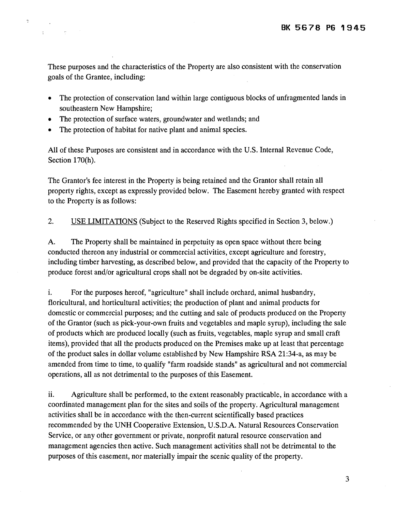These purposes and the characteristics of the Property are also consistent with the conservation goals of the Grantee, including:

- The protection of conservation land within large contiguous blocks of unfragmented lands in southeastern New Hampshire;
- The protection of surface waters, groundwater and wetlands; and
- The protection of habitat for native plant and animal species.

 $\ddot{\phantom{1}}$ 

 $\hat{\mathbb{I}}$ 

 $\mathcal{L}^{\text{max}}_{\text{max}}$  , where  $\mathcal{L}^{\text{max}}_{\text{max}}$ 

All of these Purposes are consistent and in accordance with the U.S. Internal Revenue Code, Section 170(h).

The Grantor's fee interest in the Property is being retained and the Grantor shall retain all property rights, except as expressly provided below. The Easement hereby granted with respect to the Property is as follows:

2. USE LIMITATIONS (Subject to the Reserved Rights specified in Section 3, below.)

A. The Property shall be maintained in perpetuity as open space without there being conducted thereon any industrial or commercial activities, except agriculture and forestry, including timber harvesting, as described below, and provided that the capacity of the Property to produce forest and/or agricultural crops shall not be degraded by on-site activities.

i. For the purposes hereof, "agriculture" shall include orchard, animal husbandry, floricultural, and horticultural activities; the production of plant and animal products for domestic or commercial purposes; and the cutting and sale of products produced on the Property of the Grantor (such as pick-your-own fruits and vegetables and maple syrup), including the sale of products which are produced locally (such as fruits, vegetables, maple syrup and small craft items), provided that all the products produced on the Premises make up at least that percentage of the product sales in dollar volume established by New Hampshire RSA 21:34-a, as may be amended from time to time, to qualify "farm roadside stands" as agricultural and not commercial operations, all as not detrimental to the purposes of this Easement.

ii. Agriculture shall be performed, to the extent reasonably practicable, in accordance with a coordinated management plan for the sites and soils of the property. Agricultural management activities shall be in accordance with the then-current scientifically based practices recommended by the UNH Cooperative Extension, U.S.D.A. Natural Resources Conservation Service, or any other government or private, nonprofit natural resource conservation and management agencies then active. Such management activities shall not be detrimental to the purposes of this easement, nor materially impair the scenic quality of the property.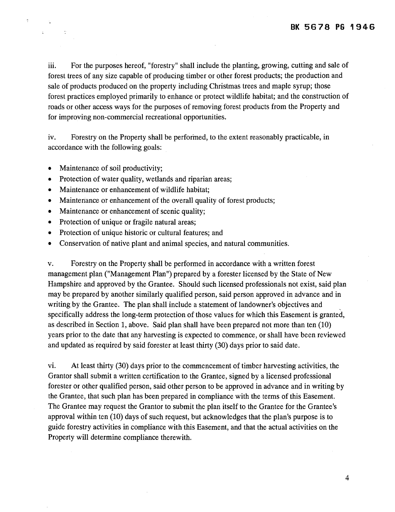iii. For the purposes hereof, "forestry" shall include the planting, growing, cutting and sale of forest trees of any size capable of producing timber or other forest products; the production and sale of products produced on the property including Christmas trees and maple syrup; those forest practices employed primarily to enhance or protect wildlife habitat; and the construction of roads or other access ways for the purposes of removing forest products from the Property and for improving non-commercial recreational opportunities.

iv. Forestry on the Property shall be performed, to the extent reasonably practicable, in accordance with the following goals:

• Maintenance of soil productivity;

 $\sim 10^{11}$ 

- Protection of water quality, wetlands and riparian areas;
- Maintenance or enhancement of wildlife habitat;
- Maintenance or enhancement of the overall quality of forest products;
- Maintenance or enhancement of scenic quality;
- Protection of unique or fragile natural areas;
- Protection of unique historic or cultural features; and
- Conservation of native plant and animal species, and natural communities.

v. Forestry on the Property shall be performed in accordance with a written forest management plan ("Management Plan") prepared by a forester licensed by the State of New Hampshire and approved by the Grantee. Should such licensed professionals not exist, said plan may be prepared by another similarly qualified person, said person approved in advance and in writing by the Grantee. The plan shall include a statement of landowner's objectives and specifically address the long-term protection of those values for which this Easement is granted, as described in Section 1, above. Said plan shall have been prepared not more than ten (10) years prior to the date that any harvesting is expected to commence, or shall have been reviewed and updated as required by said forester at least thirty (30) days prior to said date.

vi. At least thirty (30) days prior to the commencement of timber harvesting activities, the Grantor shall submit a written certification to the Grantee, signed by a licensed professional forester or other qualified person, said other person to be approved in advance and in writing by the Grantee, that such plan has been prepared in compliance with the terms of this Easement. The Grantee may request the Grantor to submit the plan itself to the Grantee for the Grantee's approval within ten (10) days of such request, but acknowledges that the plan's purpose is to guide forestry activities in compliance with this Easement, and that the actual activities on the Property will determine compliance therewith.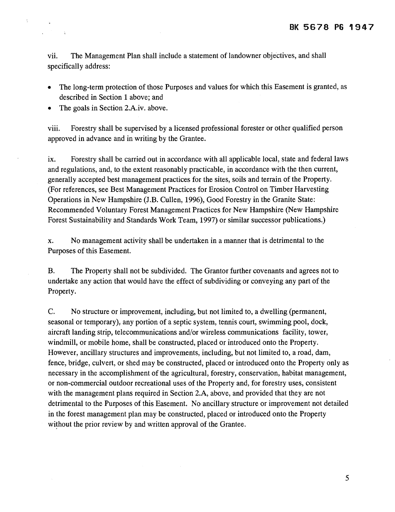vii. The Management Plan shall include a statement of landowner objectives, and shall specifically address:

- The long-term protection of those Purposes and values for which this Easement is granted, as described in Section 1 above; and
- The goals in Section 2.A.iv. above.

ċ.

 $\sim 10$ 

viii. Forestry shall be supervised by a licensed professional forester or other qualified person approved in advance and in writing by the Grantee.

ix. Forestry shall be carried out in accordance with all applicable local, state and federal laws and regulations, and, to the extent reasonably practicable, in accordance with the then current, generally accepted best management practices for the sites, soils and terrain of the Property. (For references, see Best Management Practices for Erosion Control on Timber Harvesting Operations in New Hampshire (J.B. Cullen, 1996), Good Forestry in the Granite State: Recommended Voluntary Forest Management Practices for New Hampshire (New Hampshire Forest Sustainability and Standards Work Team, 1997) or similar successor publications.)

x. No management activity shall be undertaken in a manner that is detrimental to the Purposes of this Easement.

B. The Property shall not be subdivided. The Grantor further covenants and agrees not to undertake any action that would have the effect of subdividing or conveying any part of the Property.

C. No structure or improvement, including, but not limited to, a dwelling (permanent, seasonal or temporary), any portion of a septic system, tennis court, swimming pool, dock, aircraft landing strip, telecommunications and/or wireless communications facility, tower, windmill, or mobile home, shall be constructed, placed or introduced onto the Property. However, ancillary structures and improvements, including, but not limited to, a road, dam, fence, bridge, culvert, or shed may be constructed, placed or introduced onto the Property only as necessary in the accomplishment of the agricultural, forestry, conservation, habitat management, or non-commercial outdoor recreational uses of the Property and, for forestry uses, consistent with the management plans required in Section 2.A, above, and provided that they are not detrimental to the Purposes of this Easement. No ancillary structure or improvement not detailed in the forest management plan may be constructed, placed or introduced onto the Property without the prior review by and written approval of the Grantee.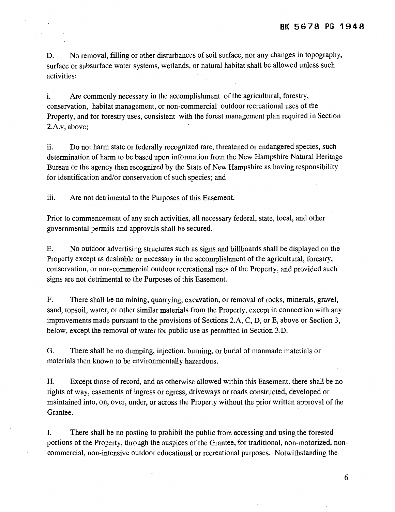D. No removal, filling or other disturbances of soil surface, nor any changes in topography, surface or subsurface water systems, wetlands, or natural habitat shall be allowed unless such activities:

i. Are commonly necessary in the accomplishment of the agricultural, forestry, conservation, habitat management, or non-commercial outdoor recreational uses of the Property, and for forestry uses, consistent with the forest management plan required in Section 2.A.v, above;

ii. Do not harm state or federally recognized rare, threatened or endangered species, such determination of harm to be based upon information from the New Hampshire Natural Heritage Bureau or the agency then recognized by the State of New Hampshire as having responsibility for identification and/or conservation of such species; and

iii. Are not detrimental to the Purposes of this Easement.

Prior to commencement of any such activities, all necessary federal, state, local, and other governmental permits and approvals shall be secured.

E. No outdoor advertising structures such as signs and billboards shall be displayed on the Property except as desirable or necessary in the accomplishment of the agricultural, forestry, conservation, or non-commercial outdoor recreational uses of the Property, and provided such signs are not detrimental to the Purposes of this Easement.

F. There shall be no mining, quarrying, excavation, or removal of rocks, minerals, gravel, sand, topsoil, water, or other similar materials from the Property, except in connection with any improvements made pursuant to the provisions of Sections 2.A, C, D, or E, above or Section 3, below, except the removal of water for public use as permitted in Section 3.D.

G. There shall be no dumping, injection, burning, or burial of manmade materials or materials then known to be environmentally hazardous.

H. Except those of record, and as otherwise allowed within this Easement, there shall be no rights of way, easements of ingress or egress, driveways or roads constructed, developed or maintained into, on, over, under, or across the Property without the prior written approval of the Grantee.

I. There shall be no posting to prohibit the public from accessing and using the forested portions of the Property, through the auspices of the Grantee, for traditional, non-motorized, noncommercial, non-intensive outdoor educational or recreational purposes. Notwithstanding the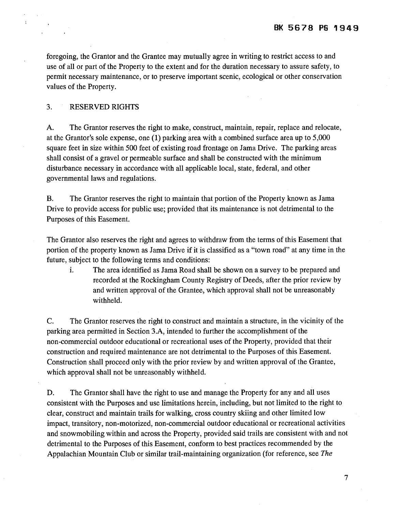foregoing, the Grantor and the Grantee may mutually agree in writing to restrict access to and use of all or part of the Property to the extent and for the duration necessary to assure safety, to permit necessary maintenance, or to preserve important scenic, ecological or other conservation values of the Property.

#### 3. RESERVED RIGHTS

A. The Grantor reserves the right to make, construct, maintain, repair, replace and relocate, at the Grantor's sole expense, one (1) parking area with a combined surface area up to 5,000 square feet in size within 500 feet of existing road frontage on Jama Drive. The parking areas shall consist of a gravel or permeable surface and shall be constructed with the minimum disturbance necessary in accordance with all applicable local, state, federal, and other governmental laws and regulations.

B. The Grantor reserves the right to maintain that portion of the Property known as Jama Drive to provide access for public use; provided that its maintenance is not detrimental to the Purposes of this Easement.

The Grantor also reserves the right and agrees to withdraw from the terms of this Easement that portion of the property known as Jama Drive if it is classified as a "town road" at any time in the future, subject to the following terms and conditions:

i. The area identified as Jama Road shall be shown on a survey to be prepared and recorded at the Rockingham County Registry of Deeds, after the prior review by and written approval of the Grantee, which approval shall not be unreasonably withheld.

C. The Grantor reserves the right to construct and maintain a structure, in the vicinity of the parking area permitted in Section 3.A, intended to further the accomplishment of the non-commercial outdoor educational or recreational uses of the Property, provided that their construction and required maintenance are not detrimental to the Purposes of this Easement. Construction shall proceed only with the prior review by and written approval of the Grantee, which approval shall not be unreasonably withheld.

D. The Grantor shall have the right to use and manage the Property for any and all uses consistent with the Purposes and use limitations herein, including, but not limited to the right to clear, construct and maintain trails for walking, cross country skiing and other limited low impact, transitory, non-motorized, non-commercial outdoor educational or recreational activities and snowmobiling within and across the Property, provided said trails are consistent with and not detrimental to the Purposes of this Easement, conform to best practices recommended by the Appalachian Mountain Club or similar trail-maintaining organization (for reference, see *The*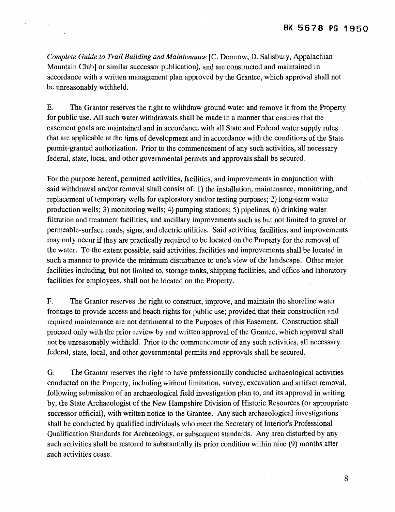*Complete Guide to Trail Building and Maintenance* [C. Demrow, D. Salisbury, Appalachian Mountain Club] or similar successor publication), and are constructed and maintained in accordance with a written management plan approved by the Grantee, which approval shall not be unreasonably withheld.

 $\hat{\cdot}$ 

E. The Grantor reserves the right to withdraw ground water and remove it from the Property for public use. All such water withdrawals shall be made in a manner that ensures that the easement goals are maintained and in accordance with all State and Federal water supply rules that are applicable at the time of development and in accordance with the conditions of the State permit-granted authorization. Prior to the commencement of any such activities, all necessary federal, state, local, and other governmental permits and approvals shall be secured.

For the purpose hereof, permitted activities, facilities, and improvements in conjunction with said withdrawal and/or removal shall consist of: 1) the installation, maintenance, monitoring, and replacement of temporary wells for exploratory and/or testing purposes; 2) long-term water production wells; 3) monitoring wells; 4) pumping stations; 5) pipelines, 6) drinking water filtration and treatment facilities, and ancillary improvements such as but not limited to gravel or permeable-surface roads, signs, and electric utilities. Said activities, facilities, and improvements may only occur if they are practically required to be located on the Property for the removal of the water. To the extent possible, said activities, facilities and improvements shall be located in such a manner to provide the minimum disturbance to one's view of the landscape. Other major facilities including, but not limited to, storage tanks, shipping facilities, and office and laboratory facilities for employees, shall not be located on the Property.

F. The Grantor reserves the right to construct, improve, and maintain the shoreline water frontage to provide access and beach rights for public use; provided that their construction and required maintenance are not detrimental to the Purposes of this Easement. Construction shall proceed only with the prior review by and written approval of the Grantee, which approval shall not be unreasonably withheld. Prior to the commencement of any such activities, all necessary federal, state, local, and other governmental permits and approvals shall be secured.

G. The Grantor reserves the right to have professionally conducted archaeological activities conducted on the Property, including without limitation, survey, excavation and artifact removal, following submission of an archaeological field investigation plan to, and its approval in writing by, the State Archaeologist of the New Hampshire Division of Historic Resources (or appropriate successor official), with written notice to the Grantee. Any such archaeological investigations shall be conducted by qualified individuals who meet the Secretary of Interior's Professional Qualification Standards for Archaeology, or subsequent standards. Any area disturbed by any such activities shall be restored to substantially its prior condition within nine (9) months after such activities cease.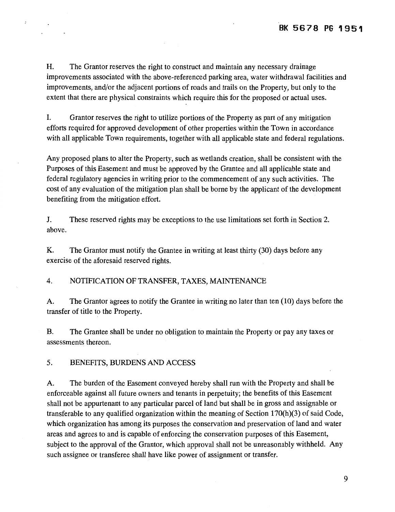H. The Grantor reserves the right to construct and maintain any necessary drainage improvements associated with the above-referenced parking area, water withdrawal facilities and improvements, and/or the adjacent portions of roads and trails on the Property, but only to the extent that there are physical constraints which require this for the proposed or actual uses.

I. Grantor reserves the right to utilize portions of the Property as part of any mitigation efforts required for approved development of other properties within the Town in accordance with all applicable Town requirements, together with all applicable state and federal regulations.

Any proposed plans to alter the Property, such as wetlands creation, shall be consistent with the Purposes of this Easement and must be approved by the Grantee and all applicable state and federal regulatory agencies in writing prior to the commencement of any such activities. The cost of any evaluation of the mitigation plan shall be borne by the applicant of the development benefiting from the mitigation effort.

J. These reserved rights may be exceptions to the use limitations set forth in Section 2. above.

K. The Grantor must notify the Grantee in writing at least thirty (30) days before any exercise of the aforesaid reserved rights.

4. NOTIFICATION OF TRANSFER, TAXES, MAINTENANCE

A. The Grantor agrees to notify the Grantee in writing no later than ten (10) days before the transfer of title to the Property.

B. The Grantee shall be under no obligation to maintain the Property or pay any taxes or assessments thereon.

5. BENEFITS, BURDENS AND ACCESS

 $\ddot{\cdot}$ 

A. The burden of the Easement conveyed hereby shall run with the Property and shall be enforceable against all future owners and tenants in perpetuity; the benefits of this Easement shall not be appurtenant to any particular parcel of land but shall be in gross and assignable or transferable to any qualified organization within the meaning of Section 170(h)(3) of said Code, which organization has among its purposes the conservation and preservation of land and water areas and agrees to and is capable of enforcing the conservation purposes of this Easement, subject to the approval of the Grantor, which approval shall not be unreasonably withheld. Any such assignee or transferee shall have like power of assignment or transfer.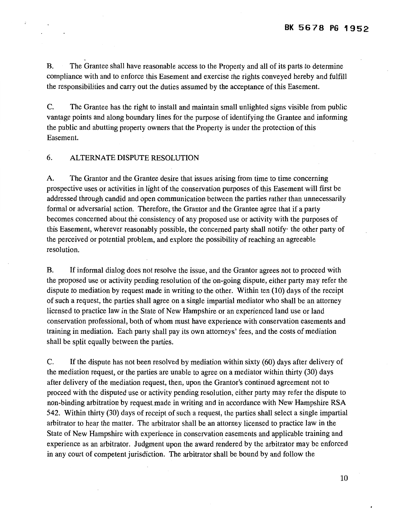B. The Grantee shall have reasonable access to the Property and all of its parts to determine compliance with and to enforce this Easement and exercise the rights conveyed hereby and fulfill the responsibilities and carry out the duties assumed by the acceptance of this Easement.

C. The Grantee has the right to install and maintain small unlighted signs visible from public vantage points and along boundary lines for the purpose of identifying the Grantee and informing the public and abutting property owners that the Property is under the protection of this Easement.

### 6. ALTERNATE DISPUTE RESOLUTION

A. The Grantor and the Grantee desire that issues arising from time to time concerning prospective uses or activities in light of the conservation purposes of this Easement will first be addressed through candid and open communication between the parties rather than unnecessarily formal or adversarial action. Therefore, the Grantor and the Grantee agree that if a party becomes concerned about the consistency of any proposed use or activity with the purposes of this Easement, wherever reasonably possible, the concerned party shall notify· the other party of the perceived or potential problem, and explore the possibility of reaching an agreeable resolution.

B. If informal dialog does not resolve the issue, and the Grantor agrees not to proceed with the proposed use or activity pending resolution of the on-going dispute, either party may refer the dispute to mediation by request made in writing to the other. Within ten (10) days of the receipt of such a request, the parties shall agree on a single impartial mediator who shall be an attorney licensed to practice law in the State of New Hampshire or an experienced land use or land conservation professional, both of whom must have experience with conservation easements and training in mediation. Each party shall pay its own attorneys' fees, and the costs of mediation shall be split equally between the parties.

C. If the dispute has not been resolved by mediation within sixty (60) days after delivery of the mediation request, or the parties are unable to agree on a mediator within thirty (30) days after delivery of the mediation request, then, upon the Grantor's continued agreement not to proceed with the disputed use or activity pending resolution, either party may refer the dispute to non-binding arbitration by request. made in writing and in accordance with New Hampshire RSA 542. Within thirty (30) days of receipt of such a request, the parties shall select a single impartial arbitrator to hear the matter. The arbitrator shall be an attorney licensed to practice law in the State of New Hampshire with experience in conservation easements and applicable training and experience as an arbitrator. Judgment upon the award rendered by the arbitrator may be enforced in any court of competent jurisdiction. The arbitrator shall be bound by and follow the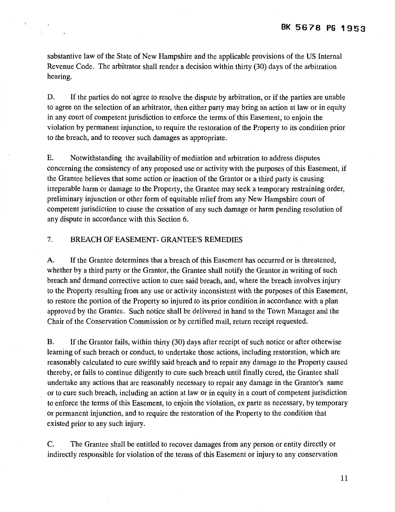substantive law of the State of New Hampshire and the applicable provisions of the US Internal Revenue Code. The arbitrator shall render a decision within thirty (30) days of the arbitration hearing.

D. If the parties do not agree to resolve the dispute by arbitration, or if the parties are unable to agree on the selection of an arbitrator, then either party may bring an action at law or in equity in any court of competent jurisdiction to enforce the terms of this Easement, to enjoin the violation by permanent injunction, to require the restoration of the Property to its condition prior to the breach, and to recover such damages as appropriate.

E. Notwithstanding the availability of mediation and arbitration to address disputes concerning the consistency of any proposed use or activity with the purposes of this Easement, if the Grantee believes that some action or inaction of the Grantor or a third party is causing irreparable harm or damage to the Property, the Grantee may seek a temporary restraining order, preliminary injunction or other form of equitable relief from any New Hampshire court of competent jurisdiction to cause the cessation of any such damage or harm pending resolution of any dispute in accordance with this Section 6.

# 7. BREACH OF EASEMENT- GRANTEE'S REMEDIES

 $\hat{z}$ 

A. If the Grantee determines that a breach of this Easement has occurred or is threatened, whether by a third party or the Grantor, the Grantee shall notify the Grantor in writing of such breach and demand corrective action to cure said breach, and, where the breach involves injury to the Property resulting from any use or activity inconsistent with the purposes of this Easement, to restore the portion of the Property so injured to its prior condition in accordance with a plan approved by the Grantee. Such notice shall be delivered in hand to the Town Manager and the Chair of the Conservation Commission or by certified mail, return receipt requested.

B. If the Grantor fails, within thirty (30) days after receipt of such notice or after otherwise learning of such breach or conduct, to undertake those actions, including restoration, which are reasonably calculated to cure swiftly said breach and to repair any damage to the Property caused thereby, or fails to continue diligently to cure such breach until finally cured, the Grantee shall undertake any actions that are reasonably necessary to repair any damage in the Grantor's name or to cure such breach, including an action at law or in equity in a court of competent jurisdiction to enforce the terms of this Easement, to enjoin the violation, ex parte as necessary, by temporary or permanent injunction, and to require the restoration of the Property to the condition that existed prior to any such injury.

C. The Grantee shall be entitled to recover damages from any person or entity directly or indirectly responsible for violation of the terms of this Easement or injury to any conservation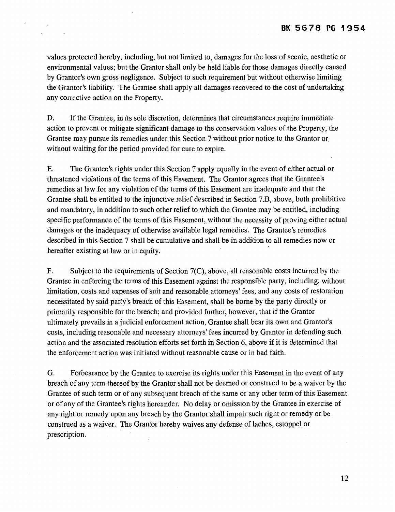values protected hereby, including, but not limited to, damages for the loss of scenic, aesthetic or environmental values; but the Grantor shall only be held liable for those damages directly caused by Grantor's own gross negligence. Subject to such requirement but without otherwise limiting the Grantor's liability. The Grantee shall apply all damages recovered to the cost of undertaking any corrective action on the Property.

í.

D. If the Grantee, in its sole discretion, determines that circumstances require immediate action to prevent or mitigate significant damage to the conservation values of the Property, the Grantee may pursue its remedies under this Section 7 without prior notice to the Grantor or without waiting for the period provided for cure to expire.

E. The Grantee's rights under this Section 7 apply equally in the event of either actual or threatened violations of the terms of this Easement. The Grantor agrees that the Grantee's remedies at law for any violation of the terms of this Easement are inadequate and that the Grantee shall be entitled to the injunctive relief described in Section 7 .B, above, both prohibitive and mandatory, in addition to such other relief to which the Grantee may be entitled, including specific performance of the terms of this Easement, without the necessity of proving either actual damages or the inadequacy of otherwise available legal remedies. The Grantee's remedies described in this Section 7 shall be cumulative and shall be in addition to all remedies now or hereafter existing at law or in equity.

F. Subject to the requirements of Section 7(C), above, all reasonable costs incurred by the Grantee in enforcing the terms of this Easement against the responsible party, including, without limitation, costs and expenses of suit and reasonable attorneys' fees, and any costs of restoration necessitated by said party's breach of this Easement, shall be borne by the party directly or primarily responsible for the breach; and provided further, however, that if the Grantor ultimately prevails in a judicial enforcement action, Grantee shall bear its own and Grantor's costs, including reasonable and necessary attorneys' fees incurred by Grantor in defending such action and the associated resolution efforts set forth in Section 6, above if it is determined that the enforcement action was initiated without reasonable cause or in bad faith.

G. Forbearance by the Grantee to exercise its rights under this Easement in the event of any breach of any term thereof by the Grantor shall not be deemed or construed to be a waiver by the Grantee of such term or of any subsequent breach of the same or any other term of this Easement or of any of the Grantee's rights hereunder. No delay or omission by the Grantee in exercise of any right or remedy upon any breach by the Grantor shall impair such right or remedy or be construed as a waiver. The Grantor hereby waives any defense of laches, estoppel or prescription.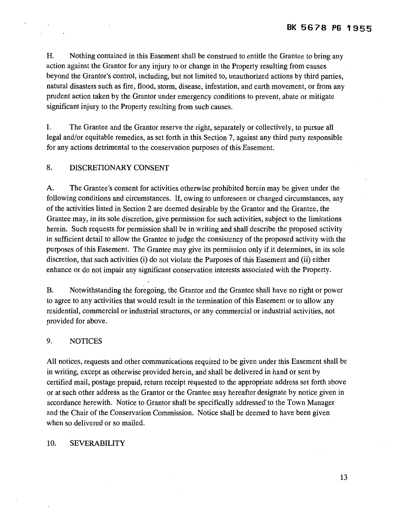H. Nothing contained in this Easement shall be construed to entitle the Grantee to bring any action against the Grantor for any injury to or change in the Property resulting from causes beyond the Grantor's control, including, but not limited to, unauthorized actions by third parties, natural disasters such as fire, flood, storm, disease, infestation, and earth movement, or from any prudent action taken by the Grantor under emergency conditions to prevent, abate or mitigate significant injury to the Property resulting from such causes.

I. The Grantee and the Grantor reserve the right, separately or collectively, to pursue all legal and/or equitable remedies, as set forth in this Section 7, against any third party responsible for any actions detrimental to the conservation purposes of this Easement.

## 8. DISCRETIONARY CONSENT

A. The Grantee's consent for activities otherwise prohibited herein may be given under the following conditions and circumstances. If, owing to unforeseen or changed circumstances, any of the activities listed in Section 2 are deemed desirable by the Grantor and the Grantee, the Grantee may, in its sole discretion, give permission for such activities, subject to the limitations herein. Such requests for permission shall be in writing and shall describe the proposed activity in sufficient detail to allow the Grantee to judge the consistency of the proposed activity with the purposes of this Easement. The Grantee may give its permission only if it determines, in its sole discretion, that such activities (i) do not violate the Purposes of this Easement and (ii) either enhance or do not impair any significant conservation interests associated with the Property.

B. Notwithstanding the foregoing, the Grantor and the Grantee shall have no right or power to agree to any activities that would result in the termination of this Easement or to allow any residential, commercial or industrial structures, or any commercial or industrial activities, not provided for above.

### 9. NOTICES

All notices, requests and other communications required to be given under this Easement shall be in writing, except as otherwise provided herein, and shall be delivered in hand or sent by certified mail, postage prepaid, return receipt requested to the appropriate address set forth above or at such other address as the Grantor or the Grantee may hereafter designate by notice given in accordance herewith. Notice to Grantor shall be specifically addressed" to the Town Manager and the Chair of the Conservation Commission. Notice shall be deemed to have been given when so delivered or so mailed.

#### 10. SEVERABILITY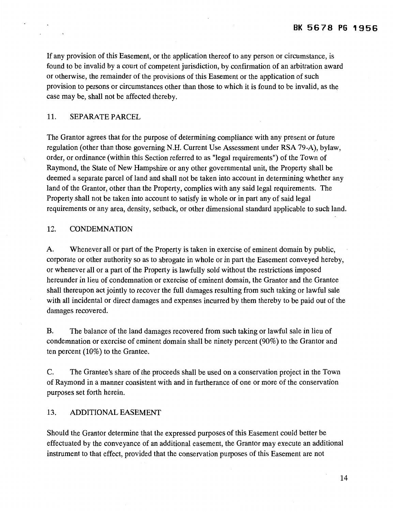If any provision of this Easement, or the application thereof to any person or circumstance, is found to be invalid by a court of competent jurisdiction, by confirmation of an arbitration award or otherwise, the remainder of the provisions of this Easement or the application of such provision to persons or circumstances other than those to which it is found to be invalid, as the case may be, shall not be affected thereby.

#### 11. SEPARATE PARCEL

The Grantor agrees that for the purpose of determining compliance with any present or future regulation (other than those governing N.H. Current Use Assessment under RSA 79-A), bylaw, order, or ordinance (within this Section referred to as "legal requirements") of the Town of Raymond, the State of New Hampshire or any other governmental unit, the Property shall be deemed a separate parcel of land and shall not be taken into account in determining whether any land of the Grantor, other than the Property, complies with any said legal requirements. The Property shall not be taken into account to satisfy in whole or in part any of said legal requirements or any area, density, setback, or other dimensional standard applicable to such land.

### 12. CONDEMNATION

A. Whenever all or part of the Property is taken in exercise of eminent domain by public, corporate or other authority so as to abrogate in whole or in part the Easement conveyed hereby, or whenever all or a part of the Property is lawfully sold without the restrictions imposed hereunder in lieu of condemnation or exercise of eminent domain, the Grantor and the Grantee shall thereupon act jointly to recover the full damages resulting from such taking or lawful sale with all incidental or direct damages and expenses incurred by them thereby to be paid out of the damages recovered.

B. The balance of the land damages recovered from such taking or lawful sale in lieu of condemnation or exercise of eminent domain shall be ninety percent (90%) to the Grantor and ten percent (10%) to the Grantee.

C. The Grantee's share of the proceeds shall be used on a conservation project in the Town of Raymond in a manner consistent with and in furtherance of one or more of the conservation purposes set forth herein.

### 13. ADDITIONAL EASEMENT

Should the Grantor determine that the expressed purposes of this Easement could better be effectuated by the conveyance of an additional easement, the Grantor may execute an additional instrument to that effect, provided that the conservation purposes of this Easement are not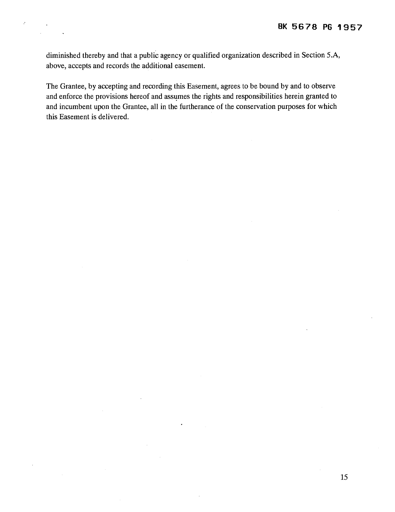diminished thereby and that a public agency or qualified organization described in Section 5 .A, above, accepts and records the additional easement.

 $\mathcal{I}$ 

The Grantee, by accepting and recording this Easement, agrees to be bound by and to observe and enforce the provisions hereof and assumes the rights and responsibilities herein granted to and incumbent upon the Grantee, all in the furtherance of the conservation purposes for which this Easement is delivered.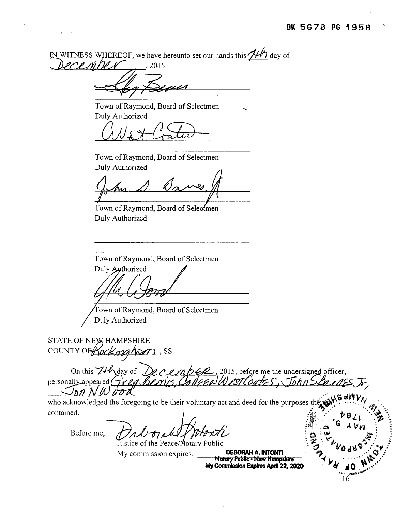## **BK 56 7 8 PG 1 9 58**

IN WITNESS WHEREOF, we have hereunto set our hands this  $\frac{1}{12}$  day of  $PCCL$   $H$   $M$   $\rightarrow$  , 2015. Town of Raymond, Board of Selectmen Duly Authorized WJ~ Town of Raymond, Board of Selectmen Duly Authorized Town of Raymond, Board of Seleomen Duly Authorized Town of Raymond, Board of Selectmen Duly Authorized Town of Raymond, Board of Selectmen Duly Authorized STATE OF NEW HAMPSHIRE county of *Kockingham*, ss ,.., On this  $\cancel{\mathcal{J}}$  day of  $\cancel{\mathcal{Q}}$  e e mb  $\cancel{\mathcal{Q}}$ , 2015, before me the undersigned officer, personally appeared Greg Benis, College West Coates, John SBances  $J_{\text{D}}$  $N$ *N*  $\sigma$  $\sigma$ *d*  $\sigma$ ,  $\sigma$ who acknowledged the foregoing to be their voluntary act and deed for the purposes there  $\mathbb{R}^N$ .  $\cdots$  .  $\gamma$ contamed. *<sup>1</sup>*,:)J. *,:* ~ S *1l* ... ~~ ·~ ·~~··. *"tt.!•* "" *.·p* ~ :~,,·, .... **Q** I. LJ .Mf •• :; Before me,  $\partial$ *1 U-ty who hti* otaryPubhc ·~.~ . **..** ~~~>-~o~.rtJ.rJ~ **.... '::V/**   $My$  commission expires: **Notary Pubttc • New Hampsbire** *"(* ~ · · · · · · · **""'\'t. ..** ,.• **My COmmission Expires Aid 22, 2020** · · **Ji** *:1* **0** , !:~ /

'-

.•.. ~.~~··lot,.. 16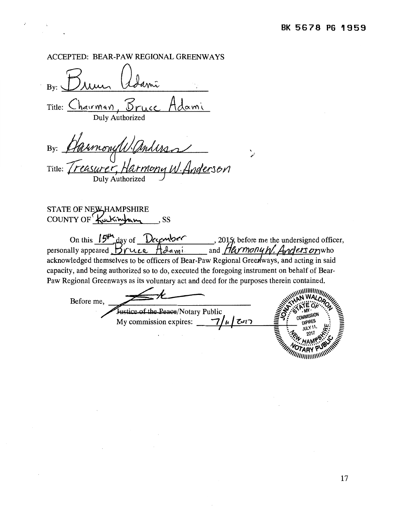# ACCEPTED: BEAR-PAW REGIONAL GREENWAYS

Bv: By:~~ Title:  $Charrman$ Duly Authorized

 $\boldsymbol{\cdot}$ 

 $By:$ and the contract of the contract of the contract of the contract of the contract of the contract of the contract of the contract of the contract of the contract of the contract of the contract of the contract of the contra Title: *Treasurer, Harmony W. Anderson* Duly Authorized

STATE OF NE**W** HAMPSHIRE COUNTY OF Kackington 55

On this 15<sup>th</sup> day of *December* personally appeared  $\mathcal{B}$ ruce  $\mathcal{B}$ dami. acknowledged themselves to be officers of Bear-Paw Regional Greenways, and acting in said capacity, and being authorized so to do, executed the foregoing instrument on behalf of Bear-Paw Regional Greenways as its voluntary act and deed for the purposes therein contained.

'  $\mathcal{E}$ 

<::::: <sup>L</sup>- ~\\\\\\111111/IJIII!J \_./2 ~ ~'\ ~~ WAJ..D. 'I~ Before me, #~~ .. ·~e"'o''··· ~o~ :»- §':...t::t- ·~~\ ~ '•, ':f.- <sup>~</sup> klice of the Peace/Notary Public<br>My commission expires: <u>1/*u* |</u> او این  $\Xi \quad \mathscr{H} \quad \mathbb{Z}^{11} \quad \mathscr{H} \quad \Xi$  $\mathbb{Z}_{\mathbb{Z}}$  ,  $\mathbb{Z}_{\mathbb{Z}}$  . HAMP  $\mathbb{Z}_{\mathbb{Z}}$ 

 $\mathscr{M}_{\mathscr{W}}$  ' $\mathscr{M}$ RY  $\mathscr{W}_{\mathscr{W}}$ "''''''''''' ''''''''"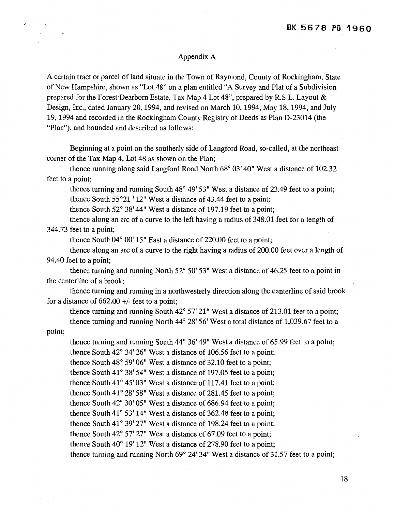#### Appendix A

A certain tract or parcel of land situate in the Town of Raymond, County of Rockingham, State of New Hampshire, shown as "Lot 48" on a plan entitled "A Survey and Plat of a Subdivision prepared for the Forest Dearborn Estate, Tax Map 4 Lot 48", prepared by R.S.L. Layout  $\&$ Design, Inc., dated January 20, 1994, and revised on March 10, 1994, May 18, 1994, and July 19, 1994 and recorded in the Rockingham County Registry of Deeds as Plan D-23014 (the "Plan"), and bounded and described as follows:

Beginning at a point on the southerly side of Langford Road, so-called, at the northeast comer of the Tax Map 4, Lot 48 as shown on the Plan;

thence running along said Langford Road North 68° 03' 40" West a distance of 102.32 feet to a point;

thence turning and running South 48° 49' 53" West a distance of 23.49 feet to a point; thence South 55°21 ' 12" West a distance of 43.44 feet to a paint;

thence South 52° 38' 44" West a distance of 197.19 feet to a point;

thence along an arc of a curve to the left having a radius of 348.01 feet for a length of 344.73 feet to a point;

thence South 04° 00' 15" East a distance of 220.00 feet to a point;

thence along an arc of a curve to the right having a radius of 200.00 feet over a length of 94.40 feet to a point;

thence turning and running North 52° 50' 53" West a distance of 46.25 feet to a point in the centerline of a brook;

thence turning and running in a northwesterly direction along the centerline of said brook for a distance of  $662.00 +/-$  feet to a point;

thence turning and running South 42° 57' 21" West a distance of 213.01 feet to a point; thence turning and running North 44° 28' 56' West a total distance of 1,039.67 feet to a

point;

 $\mathcal{L}_{\mathcal{A}}$ 

thence turning and running South 44° 36' 49" West a distance of 65.99 feet to a point; thence South 42° 34' 26" West a distance of 106.56 feet to a point;

thence South 48° 59' 06" West a distance of 32.10 feet to a point;

thence South  $41^{\circ}$  38' 54" West a distance of 197.05 feet to a point;

thence South  $41^{\circ}$  45' 03" West a distance of 117.41 feet to a point;

thence South  $41^{\circ}$  28' 58" West a distance of 281.45 feet to a point;

thence South 42° 30' 05" West a distance of 686.94 feet to a point;

thence South  $41^{\circ}$  53' 14" West a distance of 362.48 feet to a point;

thence South 41 $^{\circ}$  39' 27" West a distance of 198.24 feet to a point;

thence South 42° 57' 27" West a distance of 67.09 feet to a point;

thence South 40° 19' 12" West a distance of 278.90 feet to a point;

thence turning and running North 69° 24' 34" West a distance of 31.57 feet to a point;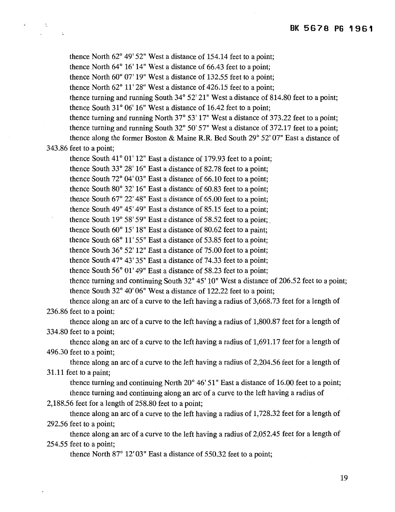thence North 62° 49' 52" West a distance of 154.14 feet to a point;

thence North 64° 16' 14" West a distance of 66.43 feet to a point;

thence North 60° 07' 19" West a distance of 132.55 feet to a point;

thence North 62° 11' 28" West a distance of 426.15 feet to a point;

thence turning and running South 34° 52' 21" West a distance of 814.80 feet to a point; thence South  $31^{\circ}$  06' 16" West a distance of 16.42 feet to a point;

thence turning and running North 37° 53' 17" West a distance of 373.22 feet to a point; thence turning and running South 32° 50' 57" West a distance of 372.17 feet to a point;

thence along the former Boston & Maine R.R. Bed South 29° 52' 07" East a distance of

#### 343.86 feet to a point;

 $\omega$ 

 $\frac{1}{2}$ 

thence South  $41^{\circ}$  01' 12" East a distance of 179.93 feet to a point;

thence South 33° 28' 16" East a distance of 82.78 feet to a point;

thence South 72° 04' 03" East a distance of 66.10 feet to a point;

thence South 80° 32' 16" East a distance of 60.83 feet to a point;

thence South  $67^{\circ}$  22' 48" East a distance of  $65.00$  feet to a point;

thence South 49° 45' 49" East a distance of 85.15 feet to a point;

thence South 19 $^{\circ}$  58' 59" East a distance of 58.52 feet to a point;

thence South 60° 15' 18" East a distance of 80.62 feet to a paint;

thence South 68° 11' 55" East a distance of 53.85 feet to a point;

thence South 36° 52' 12" East a distance of 75.00 feet to a point;

thence South 47° 43' 35" East a distance of 74.33 feet to a point;

thence South 56° 01' 49" East a distance of 58.23 feet to a point;

thence turning and continuing South  $32^{\circ}$  45' 10" West a distance of 206.52 feet to a point; thence South 32° 40' 06" West a distance of 122.22 feet to a point;

thence along an arc of a curve to the left having a radius of 3,668.73 feet for a length of 236.86 feet to a point;

thence along an arc of a curve to the left having a radius of 1,800.87 feet for a length of 334.80 feet to a point;

thence along an arc of a curve to the left having a radius of 1,691.17 feet for a length of 496.30 feet to a point;

thence along an arc of a curve to the left having a radius of 2,204.56 feet for a length of 31.11 feet to a paint;

thence turning and continuing North 20° 46' 51" East a distance of 16.00 feet to a point; thence turning and continuing along an arc of a curve to the left having a radius of

2,188.56 feet for a length of 258.80 feet to a point;

thence along an arc of a curve to the left having a radius of 1,728.32 feet for a length of 292.56 feet to a point;

thence along an arc of a curve to the left having a radius of 2,052.45 feet for a length of 254.55 feet to a point;

thence North  $87^{\circ}$  12' 03" East a distance of 550.32 feet to a point;